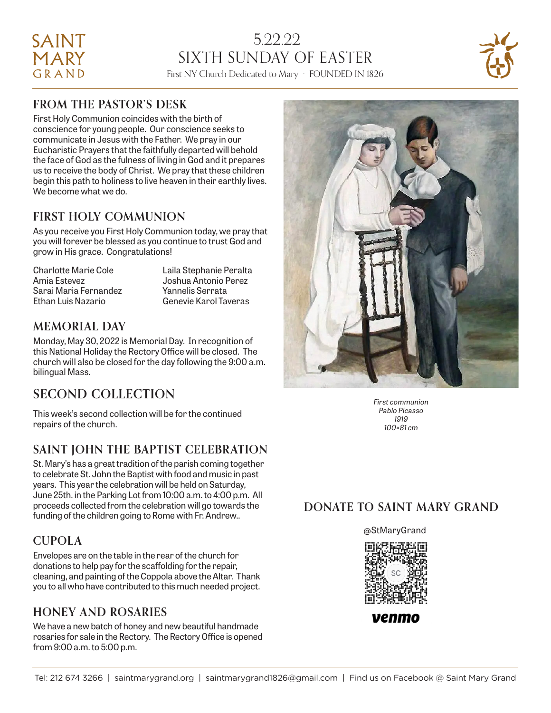# 5.22.22 SIXTH SUNDAY OF EASTER First NY Church Dedicated to Mary · FOUNDED IN 1826



### **FROM THE PASTOR'S DESK**

SAINT **MARY** GRAND

First Holy Communion coincides with the birth of conscience for young people. Our conscience seeks to communicate in Jesus with the Father. We pray in our Eucharistic Prayers that the faithfully departed will behold the face of God as the fulness of living in God and it prepares us to receive the body of Christ. We pray that these children begin this path to holiness to live heaven in their earthly lives. We become what we do.

### **FIRST HOLY COMMUNION**

As you receive you First Holy Communion today, we pray that you will forever be blessed as you continue to trust God and grow in His grace. Congratulations!

Charlotte Marie Cole Laila Stephanie Peralta Amia Estevez Joshua Antonio Perez Sarai Maria Fernandez Yannelis Serrata Ethan Luis Nazario Genevie Karol Taveras

### **MEMORIAL DAY**

Monday, May 30, 2022 is Memorial Day. In recognition of this National Holiday the Rectory Office will be closed. The church will also be closed for the day following the 9:00 a.m. bilingual Mass.

### **SECOND COLLECTION**

This week's second collection will be for the continued repairs of the church.

### **SAINT JOHN THE BAPTIST CELEBRATION**

St. Mary's has a great tradition of the parish coming together to celebrate St. John the Baptist with food and music in past years. This year the celebration will be held on Saturday, June 25th. in the Parking Lot from 10:00 a.m. to 4:00 p.m. All proceeds collected from the celebration will go towards the funding of the children going to Rome with Fr. Andrew..

### **CUPOLA**

Envelopes are on the table in the rear of the church for donations to help pay for the scaffolding for the repair, cleaning, and painting of the Coppola above the Altar. Thank you to all who have contributed to this much needed project.

### **HONEY AND ROSARIES**

We have a new batch of honey and new beautiful handmade rosaries for sale in the Rectory. The Rectory Office is opened from 9:00 a.m. to 5:00 p.m.



*First communion Pablo Picasso 1919 100×81 cm*

### **DONATE TO SAINT MARY GRAND**



venmo